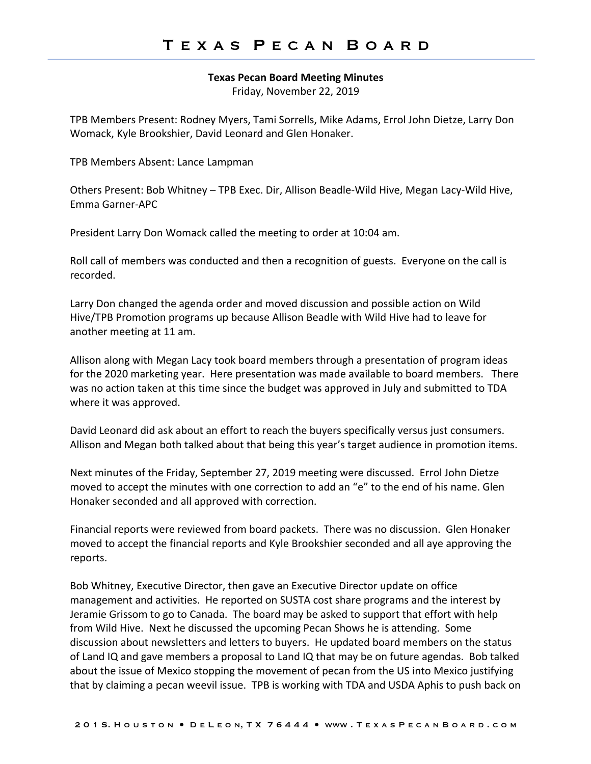## **Texas Pecan Board Meeting Minutes**

Friday, November 22, 2019

TPB Members Present: Rodney Myers, Tami Sorrells, Mike Adams, Errol John Dietze, Larry Don Womack, Kyle Brookshier, David Leonard and Glen Honaker.

TPB Members Absent: Lance Lampman

Others Present: Bob Whitney – TPB Exec. Dir, Allison Beadle-Wild Hive, Megan Lacy-Wild Hive, Emma Garner-APC

President Larry Don Womack called the meeting to order at 10:04 am.

Roll call of members was conducted and then a recognition of guests. Everyone on the call is recorded.

Larry Don changed the agenda order and moved discussion and possible action on Wild Hive/TPB Promotion programs up because Allison Beadle with Wild Hive had to leave for another meeting at 11 am.

Allison along with Megan Lacy took board members through a presentation of program ideas for the 2020 marketing year. Here presentation was made available to board members. There was no action taken at this time since the budget was approved in July and submitted to TDA where it was approved.

David Leonard did ask about an effort to reach the buyers specifically versus just consumers. Allison and Megan both talked about that being this year's target audience in promotion items.

Next minutes of the Friday, September 27, 2019 meeting were discussed. Errol John Dietze moved to accept the minutes with one correction to add an "e" to the end of his name. Glen Honaker seconded and all approved with correction.

Financial reports were reviewed from board packets. There was no discussion. Glen Honaker moved to accept the financial reports and Kyle Brookshier seconded and all aye approving the reports.

Bob Whitney, Executive Director, then gave an Executive Director update on office management and activities. He reported on SUSTA cost share programs and the interest by Jeramie Grissom to go to Canada. The board may be asked to support that effort with help from Wild Hive. Next he discussed the upcoming Pecan Shows he is attending. Some discussion about newsletters and letters to buyers. He updated board members on the status of Land IQ and gave members a proposal to Land IQ that may be on future agendas. Bob talked about the issue of Mexico stopping the movement of pecan from the US into Mexico justifying that by claiming a pecan weevil issue. TPB is working with TDA and USDA Aphis to push back on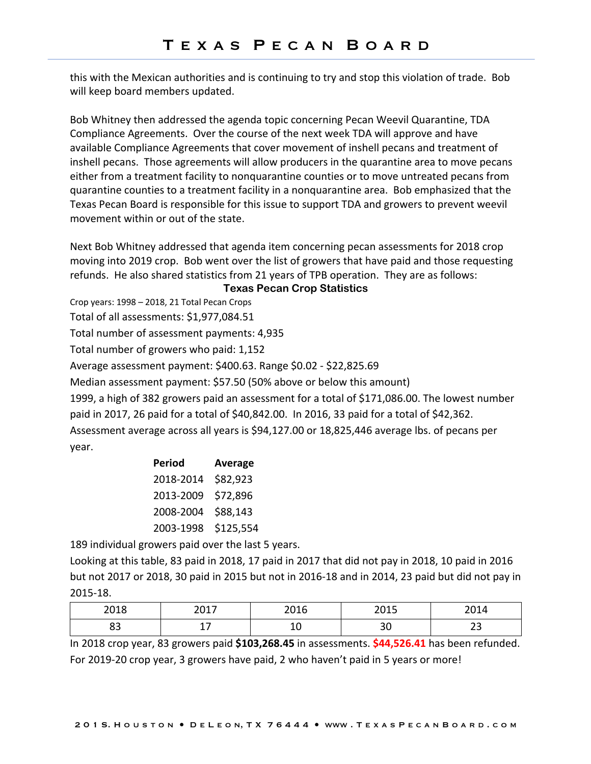this with the Mexican authorities and is continuing to try and stop this violation of trade. Bob will keep board members updated.

Bob Whitney then addressed the agenda topic concerning Pecan Weevil Quarantine, TDA Compliance Agreements. Over the course of the next week TDA will approve and have available Compliance Agreements that cover movement of inshell pecans and treatment of inshell pecans. Those agreements will allow producers in the quarantine area to move pecans either from a treatment facility to nonquarantine counties or to move untreated pecans from quarantine counties to a treatment facility in a nonquarantine area. Bob emphasized that the Texas Pecan Board is responsible for this issue to support TDA and growers to prevent weevil movement within or out of the state.

Next Bob Whitney addressed that agenda item concerning pecan assessments for 2018 crop moving into 2019 crop. Bob went over the list of growers that have paid and those requesting refunds. He also shared statistics from 21 years of TPB operation. They are as follows:

## **Texas Pecan Crop Statistics**

Crop years: 1998 – 2018, 21 Total Pecan Crops

Total of all assessments: \$1,977,084.51

Total number of assessment payments: 4,935

Total number of growers who paid: 1,152

Average assessment payment: \$400.63. Range \$0.02 - \$22,825.69

Median assessment payment: \$57.50 (50% above or below this amount)

1999, a high of 382 growers paid an assessment for a total of \$171,086.00. The lowest number paid in 2017, 26 paid for a total of \$40,842.00. In 2016, 33 paid for a total of \$42,362. Assessment average across all years is \$94,127.00 or 18,825,446 average lbs. of pecans per year.

| Period    | Average   |  |  |
|-----------|-----------|--|--|
| 2018-2014 | \$82,923  |  |  |
| 2013-2009 | \$72,896  |  |  |
| 2008-2004 | \$88,143  |  |  |
| 2003-1998 | \$125,554 |  |  |

189 individual growers paid over the last 5 years.

Looking at this table, 83 paid in 2018, 17 paid in 2017 that did not pay in 2018, 10 paid in 2016 but not 2017 or 2018, 30 paid in 2015 but not in 2016-18 and in 2014, 23 paid but did not pay in 2015-18.

| 2018 | 2047<br>2011 | 201C<br>∠∪⊥∪ | 2015<br>∠∪⊥ | 2014     |
|------|--------------|--------------|-------------|----------|
| ບບ   |              | ᅩ            | n r<br>οu   | ~~<br>تے |

In 2018 crop year, 83 growers paid **\$103,268.45** in assessments. **\$44,526.41** has been refunded. For 2019-20 crop year, 3 growers have paid, 2 who haven't paid in 5 years or more!